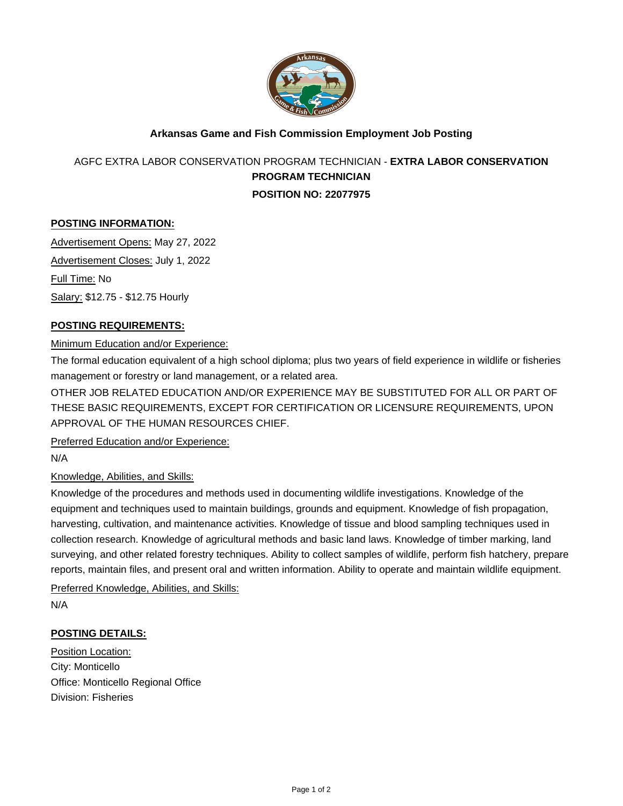

## **Arkansas Game and Fish Commission Employment Job Posting**

# AGFC EXTRA LABOR CONSERVATION PROGRAM TECHNICIAN - **EXTRA LABOR CONSERVATION PROGRAM TECHNICIAN POSITION NO: 22077975**

### **POSTING INFORMATION:**

Advertisement Opens: May 27, 2022 Advertisement Closes: July 1, 2022 Full Time: No Salary: \$12.75 - \$12.75 Hourly

### **POSTING REQUIREMENTS:**

### Minimum Education and/or Experience:

The formal education equivalent of a high school diploma; plus two years of field experience in wildlife or fisheries management or forestry or land management, or a related area.

OTHER JOB RELATED EDUCATION AND/OR EXPERIENCE MAY BE SUBSTITUTED FOR ALL OR PART OF THESE BASIC REQUIREMENTS, EXCEPT FOR CERTIFICATION OR LICENSURE REQUIREMENTS, UPON APPROVAL OF THE HUMAN RESOURCES CHIEF.

Preferred Education and/or Experience:

N/A

### Knowledge, Abilities, and Skills:

Knowledge of the procedures and methods used in documenting wildlife investigations. Knowledge of the equipment and techniques used to maintain buildings, grounds and equipment. Knowledge of fish propagation, harvesting, cultivation, and maintenance activities. Knowledge of tissue and blood sampling techniques used in collection research. Knowledge of agricultural methods and basic land laws. Knowledge of timber marking, land surveying, and other related forestry techniques. Ability to collect samples of wildlife, perform fish hatchery, prepare reports, maintain files, and present oral and written information. Ability to operate and maintain wildlife equipment.

Preferred Knowledge, Abilities, and Skills:

N/A

### **POSTING DETAILS:**

Position Location: City: Monticello Office: Monticello Regional Office Division: Fisheries